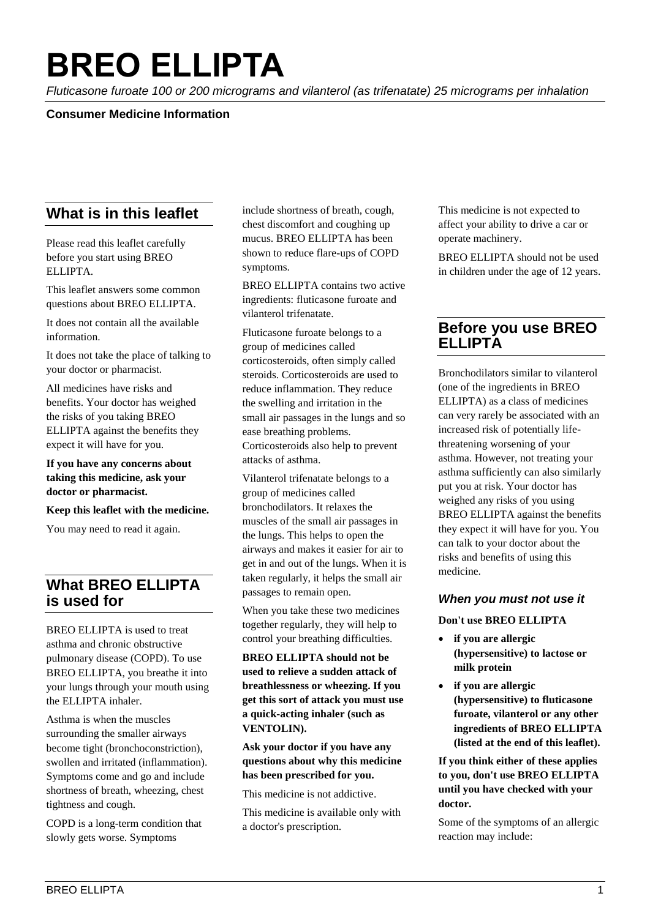# **BREO ELLIPTA**

*Fluticasone furoate 100 or 200 micrograms and vilanterol (as trifenatate) 25 micrograms per inhalation*

#### **Consumer Medicine Information**

# **What is in this leaflet**

Please read this leaflet carefully before you start using BREO ELLIPTA.

This leaflet answers some common questions about BREO ELLIPTA.

It does not contain all the available information.

It does not take the place of talking to your doctor or pharmacist.

All medicines have risks and benefits. Your doctor has weighed the risks of you taking BREO ELLIPTA against the benefits they expect it will have for you.

**If you have any concerns about taking this medicine, ask your doctor or pharmacist.** 

#### **Keep this leaflet with the medicine.**

You may need to read it again.

# **What BREO ELLIPTA is used for**

BREO ELLIPTA is used to treat asthma and chronic obstructive pulmonary disease (COPD). To use BREO ELLIPTA, you breathe it into your lungs through your mouth using the ELLIPTA inhaler.

Asthma is when the muscles surrounding the smaller airways become tight (bronchoconstriction), swollen and irritated (inflammation). Symptoms come and go and include shortness of breath, wheezing, chest tightness and cough.

COPD is a long-term condition that slowly gets worse. Symptoms

include shortness of breath, cough, chest discomfort and coughing up mucus. BREO ELLIPTA has been shown to reduce flare-ups of COPD symptoms.

BREO ELLIPTA contains two active ingredients: fluticasone furoate and vilanterol trifenatate.

Fluticasone furoate belongs to a group of medicines called corticosteroids, often simply called steroids. Corticosteroids are used to reduce inflammation. They reduce the swelling and irritation in the small air passages in the lungs and so ease breathing problems. Corticosteroids also help to prevent attacks of asthma.

Vilanterol trifenatate belongs to a group of medicines called bronchodilators. It relaxes the muscles of the small air passages in the lungs. This helps to open the airways and makes it easier for air to get in and out of the lungs. When it is taken regularly, it helps the small air passages to remain open.

When you take these two medicines together regularly, they will help to control your breathing difficulties.

**BREO ELLIPTA should not be used to relieve a sudden attack of breathlessness or wheezing. If you get this sort of attack you must use a quick-acting inhaler (such as VENTOLIN).**

#### **Ask your doctor if you have any questions about why this medicine has been prescribed for you.**

This medicine is not addictive.

This medicine is available only with a doctor's prescription.

This medicine is not expected to affect your ability to drive a car or operate machinery.

BREO ELLIPTA should not be used in children under the age of 12 years.

# **Before you use BREO ELLIPTA**

Bronchodilators similar to vilanterol (one of the ingredients in BREO ELLIPTA) as a class of medicines can very rarely be associated with an increased risk of potentially lifethreatening worsening of your asthma. However, not treating your asthma sufficiently can also similarly put you at risk. Your doctor has weighed any risks of you using BREO ELLIPTA against the benefits they expect it will have for you. You can talk to your doctor about the risks and benefits of using this medicine.

#### *When you must not use it*

**Don't use BREO ELLIPTA**

- **if you are allergic (hypersensitive) to lactose or milk protein**
- **if you are allergic (hypersensitive) to fluticasone furoate, vilanterol or any other ingredients of BREO ELLIPTA (listed at the end of this leaflet).**

**If you think either of these applies to you, don't use BREO ELLIPTA until you have checked with your doctor.**

Some of the symptoms of an allergic reaction may include: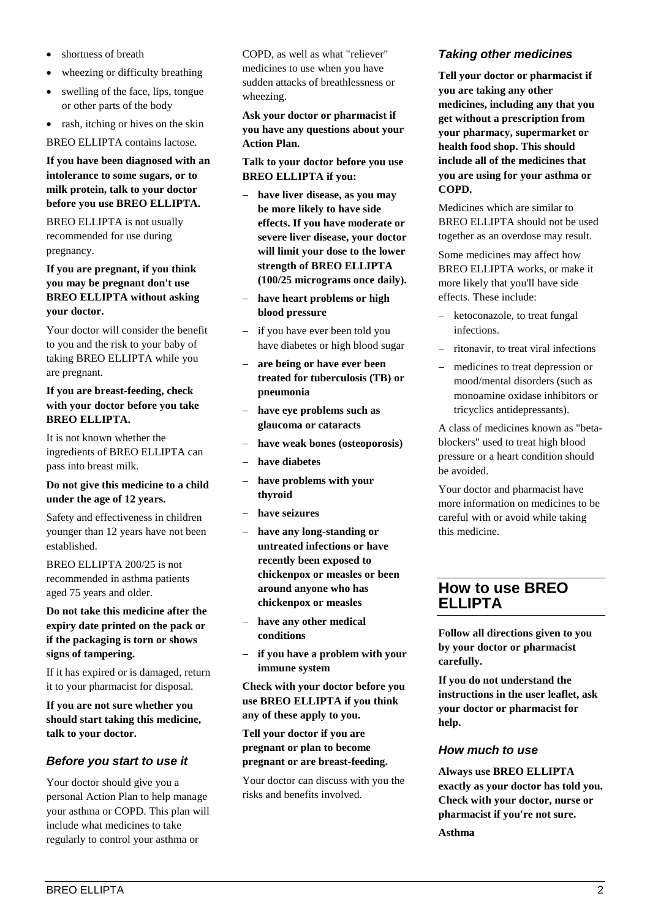- shortness of breath
- wheezing or difficulty breathing
- swelling of the face, lips, tongue or other parts of the body
- rash, itching or hives on the skin

BREO ELLIPTA contains lactose.

#### **If you have been diagnosed with an intolerance to some sugars, or to milk protein, talk to your doctor before you use BREO ELLIPTA.**

BREO ELLIPTA is not usually recommended for use during pregnancy.

#### **If you are pregnant, if you think you may be pregnant don't use BREO ELLIPTA without asking your doctor.**

Your doctor will consider the benefit to you and the risk to your baby of taking BREO ELLIPTA while you are pregnant.

#### **If you are breast-feeding, check with your doctor before you take BREO ELLIPTA.**

It is not known whether the ingredients of BREO ELLIPTA can pass into breast milk.

#### **Do not give this medicine to a child under the age of 12 years.**

Safety and effectiveness in children younger than 12 years have not been established.

BREO ELLIPTA 200/25 is not recommended in asthma patients aged 75 years and older.

**Do not take this medicine after the expiry date printed on the pack or if the packaging is torn or shows signs of tampering.** 

If it has expired or is damaged, return it to your pharmacist for disposal.

**If you are not sure whether you should start taking this medicine, talk to your doctor.** 

#### *Before you start to use it*

Your doctor should give you a personal Action Plan to help manage your asthma or COPD. This plan will include what medicines to take regularly to control your asthma or

COPD, as well as what "reliever" medicines to use when you have sudden attacks of breathlessness or wheezing.

#### **Ask your doctor or pharmacist if you have any questions about your Action Plan.**

**Talk to your doctor before you use BREO ELLIPTA if you:**

- − **have liver disease, as you may be more likely to have side effects. If you have moderate or severe liver disease, your doctor will limit your dose to the lower strength of BREO ELLIPTA (100/25 micrograms once daily).**
- − **have heart problems or high blood pressure**
- − if you have ever been told you have diabetes or high blood sugar
- − **are being or have ever been treated for tuberculosis (TB) or pneumonia**
- have eye problems such as **glaucoma or cataracts**
- − **have weak bones (osteoporosis)**
- − **have diabetes**
- − **have problems with your thyroid**
- − **have seizures**
- − **have any long-standing or untreated infections or have recently been exposed to chickenpox or measles or been around anyone who has chickenpox or measles**
- have any other medical **conditions**
- − **if you have a problem with your immune system**

**Check with your doctor before you use BREO ELLIPTA if you think any of these apply to you.** 

**Tell your doctor if you are pregnant or plan to become pregnant or are breast-feeding.** 

Your doctor can discuss with you the risks and benefits involved.

# *Taking other medicines*

**Tell your doctor or pharmacist if you are taking any other medicines, including any that you get without a prescription from your pharmacy, supermarket or health food shop. This should include all of the medicines that you are using for your asthma or COPD.**

Medicines which are similar to BREO ELLIPTA should not be used together as an overdose may result.

Some medicines may affect how BREO ELLIPTA works, or make it more likely that you'll have side effects. These include:

- ketoconazole, to treat fungal infections.
- − ritonavir, to treat viral infections
- medicines to treat depression or mood/mental disorders (such as monoamine oxidase inhibitors or tricyclics antidepressants).

A class of medicines known as "betablockers" used to treat high blood pressure or a heart condition should be avoided.

Your doctor and pharmacist have more information on medicines to be careful with or avoid while taking this medicine.

# **How to use BREO ELLIPTA**

**Follow all directions given to you by your doctor or pharmacist carefully.**

**If you do not understand the instructions in the user leaflet, ask your doctor or pharmacist for help.**

#### *How much to use*

**Always use BREO ELLIPTA exactly as your doctor has told you. Check with your doctor, nurse or pharmacist if you're not sure. Asthma**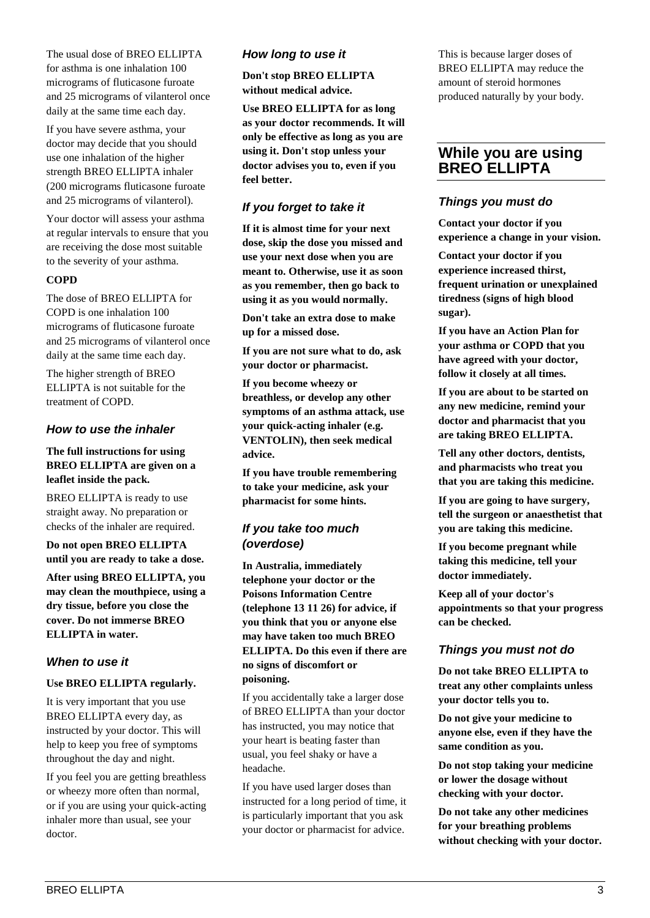The usual dose of BREO ELLIPTA for asthma is one inhalation 100 micrograms of fluticasone furoate and 25 micrograms of vilanterol once daily at the same time each day.

If you have severe asthma, your doctor may decide that you should use one inhalation of the higher strength BREO ELLIPTA inhaler (200 micrograms fluticasone furoate and 25 micrograms of vilanterol).

Your doctor will assess your asthma at regular intervals to ensure that you are receiving the dose most suitable to the severity of your asthma.

#### **COPD**

The dose of BREO ELLIPTA for COPD is one inhalation 100 micrograms of fluticasone furoate and 25 micrograms of vilanterol once daily at the same time each day.

The higher strength of BREO ELLIPTA is not suitable for the treatment of COPD.

#### *How to use the inhaler*

#### **The full instructions for using BREO ELLIPTA are given on a leaflet inside the pack.**

BREO ELLIPTA is ready to use straight away. No preparation or checks of the inhaler are required.

**Do not open BREO ELLIPTA until you are ready to take a dose.**

**After using BREO ELLIPTA, you may clean the mouthpiece, using a dry tissue, before you close the cover. Do not immerse BREO ELLIPTA in water.**

#### *When to use it*

#### **Use BREO ELLIPTA regularly.**

It is very important that you use BREO ELLIPTA every day, as instructed by your doctor. This will help to keep you free of symptoms throughout the day and night.

If you feel you are getting breathless or wheezy more often than normal, or if you are using your quick-acting inhaler more than usual, see your doctor.

## *How long to use it*

**Don't stop BREO ELLIPTA without medical advice.**

**Use BREO ELLIPTA for as long as your doctor recommends. It will only be effective as long as you are using it. Don't stop unless your doctor advises you to, even if you feel better.**

## *If you forget to take it*

**If it is almost time for your next dose, skip the dose you missed and use your next dose when you are meant to. Otherwise, use it as soon as you remember, then go back to using it as you would normally.**

**Don't take an extra dose to make up for a missed dose.** 

**If you are not sure what to do, ask your doctor or pharmacist.**

**If you become wheezy or breathless, or develop any other symptoms of an asthma attack, use your quick-acting inhaler (e.g. VENTOLIN), then seek medical advice.**

**If you have trouble remembering to take your medicine, ask your pharmacist for some hints.**

# *If you take too much (overdose)*

**In Australia, immediately telephone your doctor or the Poisons Information Centre (telephone 13 11 26) for advice, if you think that you or anyone else may have taken too much BREO ELLIPTA. Do this even if there are no signs of discomfort or poisoning.**

If you accidentally take a larger dose of BREO ELLIPTA than your doctor has instructed, you may notice that your heart is beating faster than usual, you feel shaky or have a headache.

If you have used larger doses than instructed for a long period of time, it is particularly important that you ask your doctor or pharmacist for advice.

This is because larger doses of BREO ELLIPTA may reduce the amount of steroid hormones produced naturally by your body.

# **While you are using BREO ELLIPTA**

## *Things you must do*

**Contact your doctor if you experience a change in your vision.**

**Contact your doctor if you experience increased thirst, frequent urination or unexplained tiredness (signs of high blood sugar).**

**If you have an Action Plan for your asthma or COPD that you have agreed with your doctor, follow it closely at all times.**

**If you are about to be started on any new medicine, remind your doctor and pharmacist that you are taking BREO ELLIPTA.** 

**Tell any other doctors, dentists, and pharmacists who treat you that you are taking this medicine.** 

**If you are going to have surgery, tell the surgeon or anaesthetist that you are taking this medicine.** 

**If you become pregnant while taking this medicine, tell your doctor immediately.** 

**Keep all of your doctor's appointments so that your progress can be checked.** 

#### *Things you must not do*

**Do not take BREO ELLIPTA to treat any other complaints unless your doctor tells you to.** 

**Do not give your medicine to anyone else, even if they have the same condition as you.** 

**Do not stop taking your medicine or lower the dosage without checking with your doctor.** 

**Do not take any other medicines for your breathing problems without checking with your doctor.**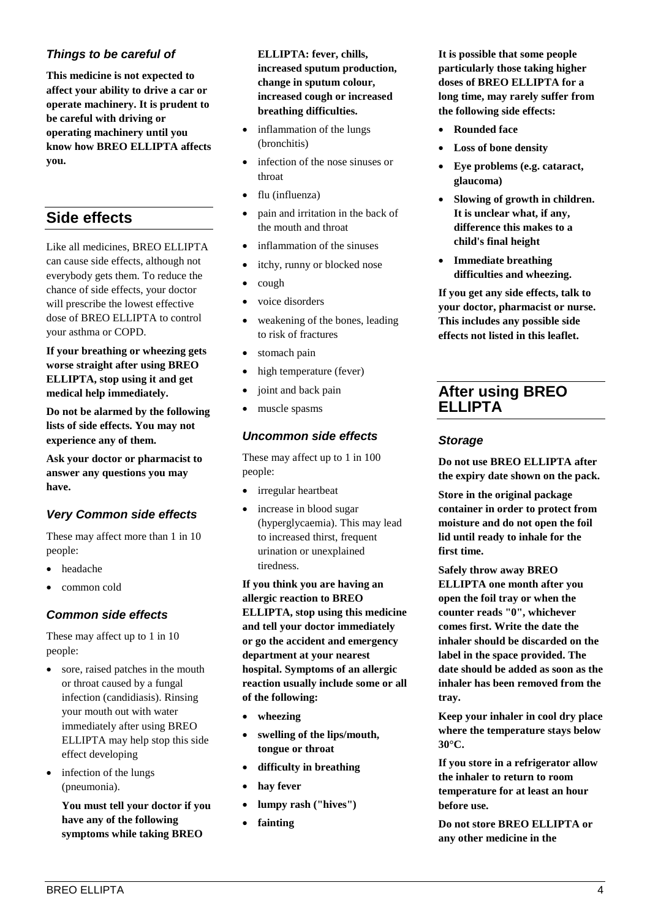# *Things to be careful of*

**This medicine is not expected to affect your ability to drive a car or operate machinery. It is prudent to be careful with driving or operating machinery until you know how BREO ELLIPTA affects you.** 

# **Side effects**

Like all medicines, BREO ELLIPTA can cause side effects, although not everybody gets them. To reduce the chance of side effects, your doctor will prescribe the lowest effective dose of BREO ELLIPTA to control your asthma or COPD.

**If your breathing or wheezing gets worse straight after using BREO ELLIPTA, stop using it and get medical help immediately.**

**Do not be alarmed by the following lists of side effects. You may not experience any of them.**

**Ask your doctor or pharmacist to answer any questions you may have.**

# *Very Common side effects*

These may affect more than 1 in 10 people:

- headache
- common cold

# *Common side effects*

These may affect up to 1 in 10 people:

- sore, raised patches in the mouth or throat caused by a fungal infection (candidiasis). Rinsing your mouth out with water immediately after using BREO ELLIPTA may help stop this side effect developing
- infection of the lungs (pneumonia).

**You must tell your doctor if you have any of the following symptoms while taking BREO** 

**ELLIPTA: fever, chills, increased sputum production, change in sputum colour, increased cough or increased breathing difficulties.**

- inflammation of the lungs (bronchitis)
- infection of the nose sinuses or throat
- flu (influenza)
- pain and irritation in the back of the mouth and throat
- inflammation of the sinuses
- itchy, runny or blocked nose
- cough
- voice disorders
- weakening of the bones, leading to risk of fractures
- stomach pain
- high temperature (fever)
- joint and back pain
- muscle spasms

## *Uncommon side effects*

These may affect up to 1 in 100 people:

- irregular heartbeat
- increase in blood sugar (hyperglycaemia). This may lead to increased thirst, frequent urination or unexplained tiredness.

**If you think you are having an allergic reaction to BREO ELLIPTA, stop using this medicine and tell your doctor immediately or go the accident and emergency department at your nearest hospital. Symptoms of an allergic reaction usually include some or all of the following:**

- **wheezing**
- **swelling of the lips/mouth, tongue or throat**
- **difficulty in breathing**
- hay fever
- **lumpy rash ("hives")**
- **fainting**

**It is possible that some people particularly those taking higher doses of BREO ELLIPTA for a long time, may rarely suffer from the following side effects:**

- **Rounded face**
- **Loss of bone density**
- **Eye problems (e.g. cataract, glaucoma)**
- **Slowing of growth in children. It is unclear what, if any, difference this makes to a child's final height**
- **Immediate breathing difficulties and wheezing.**

**If you get any side effects, talk to your doctor, pharmacist or nurse. This includes any possible side effects not listed in this leaflet.**

# **After using BREO ELLIPTA**

#### *Storage*

**Do not use BREO ELLIPTA after the expiry date shown on the pack.**

**Store in the original package container in order to protect from moisture and do not open the foil lid until ready to inhale for the first time.** 

**Safely throw away BREO ELLIPTA one month after you open the foil tray or when the counter reads "0", whichever comes first. Write the date the inhaler should be discarded on the label in the space provided. The date should be added as soon as the inhaler has been removed from the tray.**

**Keep your inhaler in cool dry place where the temperature stays below 30°C.** 

**If you store in a refrigerator allow the inhaler to return to room temperature for at least an hour before use.**

**Do not store BREO ELLIPTA or any other medicine in the**